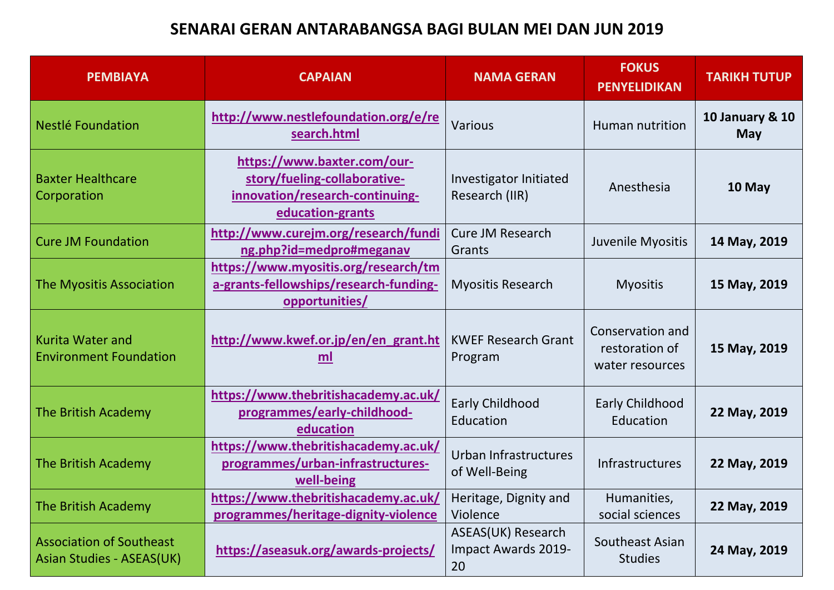## **SENARAI GERAN ANTARABANGSA BAGI BULAN MEI DAN JUN 2019**

| <b>PEMBIAYA</b>                                              | <b>CAPAIAN</b>                                                                                                     | <b>NAMA GERAN</b>                               | <b>FOKUS</b><br><b>PENYELIDIKAN</b>                   | <b>TARIKH TUTUP</b>           |
|--------------------------------------------------------------|--------------------------------------------------------------------------------------------------------------------|-------------------------------------------------|-------------------------------------------------------|-------------------------------|
| Nestlé Foundation                                            | http://www.nestlefoundation.org/e/re<br>search.html                                                                | <b>Various</b>                                  | Human nutrition                                       | 10 January & 10<br><b>May</b> |
| <b>Baxter Healthcare</b><br>Corporation                      | https://www.baxter.com/our-<br>story/fueling-collaborative-<br>innovation/research-continuing-<br>education-grants | Investigator Initiated<br>Research (IIR)        | Anesthesia                                            | 10 May                        |
| <b>Cure JM Foundation</b>                                    | http://www.curejm.org/research/fundi<br>ng.php?id=medpro#meganav                                                   | <b>Cure JM Research</b><br>Grants               | Juvenile Myositis                                     | 14 May, 2019                  |
| The Myositis Association                                     | https://www.myositis.org/research/tm<br>a-grants-fellowships/research-funding-<br>opportunities/                   | <b>Myositis Research</b>                        | <b>Myositis</b>                                       | 15 May, 2019                  |
| <b>Kurita Water and</b><br><b>Environment Foundation</b>     | http://www.kwef.or.jp/en/en_grant.ht<br>ml                                                                         | <b>KWEF Research Grant</b><br>Program           | Conservation and<br>restoration of<br>water resources | 15 May, 2019                  |
| The British Academy                                          | https://www.thebritishacademy.ac.uk/<br>programmes/early-childhood-<br>education                                   | Early Childhood<br>Education                    | Early Childhood<br>Education                          | 22 May, 2019                  |
| The British Academy                                          | https://www.thebritishacademy.ac.uk/<br>programmes/urban-infrastructures-<br>well-being                            | Urban Infrastructures<br>of Well-Being          | Infrastructures                                       | 22 May, 2019                  |
| The British Academy                                          | https://www.thebritishacademy.ac.uk/<br>programmes/heritage-dignity-violence                                       | Heritage, Dignity and<br>Violence               | Humanities,<br>social sciences                        | 22 May, 2019                  |
| <b>Association of Southeast</b><br>Asian Studies - ASEAS(UK) | https://aseasuk.org/awards-projects/                                                                               | ASEAS(UK) Research<br>Impact Awards 2019-<br>20 | Southeast Asian<br><b>Studies</b>                     | 24 May, 2019                  |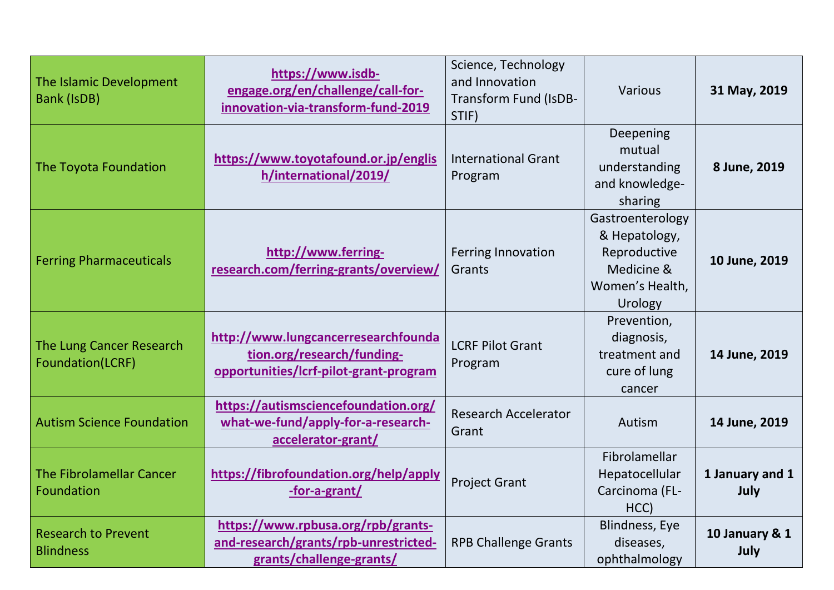| The Islamic Development<br><b>Bank (IsDB)</b>  | https://www.isdb-<br>engage.org/en/challenge/call-for-<br>innovation-via-transform-fund-2019                | Science, Technology<br>and Innovation<br><b>Transform Fund (IsDB-</b><br>STIF) | Various                                                                                       | 31 May, 2019            |
|------------------------------------------------|-------------------------------------------------------------------------------------------------------------|--------------------------------------------------------------------------------|-----------------------------------------------------------------------------------------------|-------------------------|
| The Toyota Foundation                          | https://www.toyotafound.or.jp/englis<br>h/international/2019/                                               | <b>International Grant</b><br>Program                                          | Deepening<br>mutual<br>understanding<br>and knowledge-<br>sharing                             | 8 June, 2019            |
| <b>Ferring Pharmaceuticals</b>                 | http://www.ferring-<br>research.com/ferring-grants/overview/                                                | <b>Ferring Innovation</b><br>Grants                                            | Gastroenterology<br>& Hepatology,<br>Reproductive<br>Medicine &<br>Women's Health,<br>Urology | 10 June, 2019           |
| The Lung Cancer Research<br>Foundation(LCRF)   | http://www.lungcancerresearchfounda<br>tion.org/research/funding-<br>opportunities/lcrf-pilot-grant-program | <b>LCRF Pilot Grant</b><br>Program                                             | Prevention,<br>diagnosis,<br>treatment and<br>cure of lung<br>cancer                          | 14 June, 2019           |
| <b>Autism Science Foundation</b>               | https://autismsciencefoundation.org/<br>what-we-fund/apply-for-a-research-<br>accelerator-grant/            | <b>Research Accelerator</b><br>Grant                                           | Autism                                                                                        | 14 June, 2019           |
| <b>The Fibrolamellar Cancer</b><br>Foundation  | https://fibrofoundation.org/help/apply<br>-for-a-grant/                                                     | <b>Project Grant</b>                                                           | Fibrolamellar<br>Hepatocellular<br>Carcinoma (FL-<br>HCC)                                     | 1 January and 1<br>July |
| <b>Research to Prevent</b><br><b>Blindness</b> | https://www.rpbusa.org/rpb/grants-<br>and-research/grants/rpb-unrestricted-<br>grants/challenge-grants/     | <b>RPB Challenge Grants</b>                                                    | <b>Blindness, Eye</b><br>diseases,<br>ophthalmology                                           | 10 January & 1<br>July  |